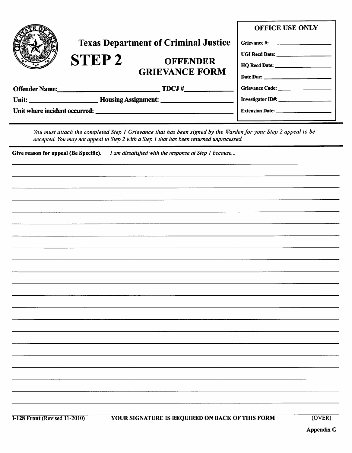|  |                                             |                                          | <b>OFFICE USE ONLY</b>                        |
|--|---------------------------------------------|------------------------------------------|-----------------------------------------------|
|  | <b>Texas Department of Criminal Justice</b> |                                          |                                               |
|  | <b>STEP2</b>                                | <b>OFFENDER</b><br><b>GRIEVANCE FORM</b> |                                               |
|  |                                             |                                          |                                               |
|  |                                             |                                          |                                               |
|  |                                             | Offender Name: TDCJ #                    |                                               |
|  |                                             |                                          |                                               |
|  |                                             |                                          | Extension Date: <u>______________________</u> |
|  |                                             |                                          |                                               |

*You must attach the completed Step 1 Grievance that has been signed by the Warden for your Step 2 appeal to be accepted. You may not appeal to Step 2 with a Step 1 that has been returned unprocessed.* 

Give reason for appeal (Be Specific). *I am dissatisfied with the response at Step 1 because...* 

## **1-128 Front (Revised 11-2010) YOUR SIGNATURE IS REQUIRED ON BACK OF THIS FORM** (OVER)